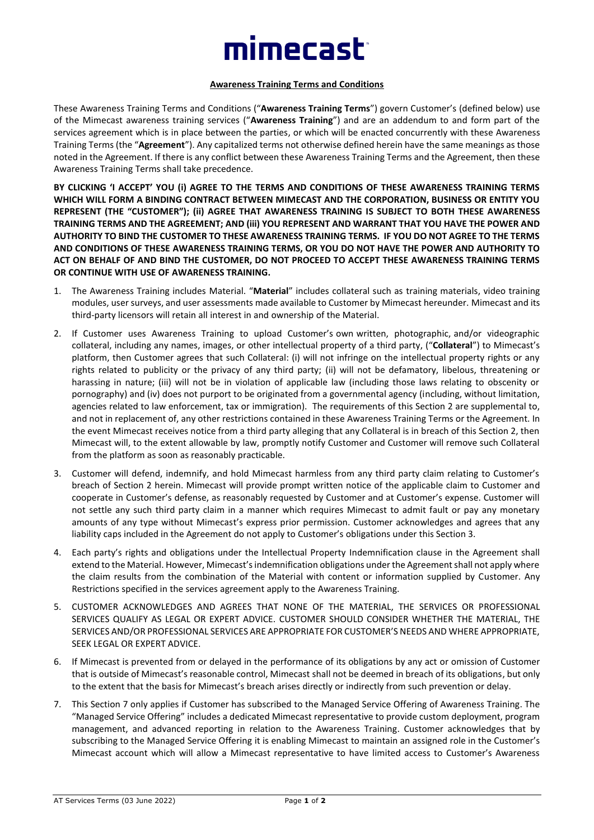## mimecast

## **Awareness Training Terms and Conditions**

These Awareness Training Terms and Conditions ("**Awareness Training Terms**") govern Customer's (defined below) use of the Mimecast awareness training services ("**Awareness Training**") and are an addendum to and form part of the services agreement which is in place between the parties, or which will be enacted concurrently with these Awareness Training Terms (the "**Agreement**"). Any capitalized terms not otherwise defined herein have the same meanings as those noted in the Agreement. If there is any conflict between these Awareness Training Terms and the Agreement, then these Awareness Training Terms shall take precedence.

**BY CLICKING 'I ACCEPT' YOU (i) AGREE TO THE TERMS AND CONDITIONS OF THESE AWARENESS TRAINING TERMS WHICH WILL FORM A BINDING CONTRACT BETWEEN MIMECAST AND THE CORPORATION, BUSINESS OR ENTITY YOU REPRESENT (THE "CUSTOMER"); (ii) AGREE THAT AWARENESS TRAINING IS SUBJECT TO BOTH THESE AWARENESS TRAINING TERMS AND THE AGREEMENT; AND (iii) YOU REPRESENT AND WARRANT THAT YOU HAVE THE POWER AND AUTHORITY TO BIND THE CUSTOMER TO THESE AWARENESS TRAINING TERMS. IF YOU DO NOT AGREE TO THE TERMS AND CONDITIONS OF THESE AWARENESS TRAINING TERMS, OR YOU DO NOT HAVE THE POWER AND AUTHORITY TO ACT ON BEHALF OF AND BIND THE CUSTOMER, DO NOT PROCEED TO ACCEPT THESE AWARENESS TRAINING TERMS OR CONTINUE WITH USE OF AWARENESS TRAINING.**

- 1. The Awareness Training includes Material. "**Material**" includes collateral such as training materials, video training modules, user surveys, and user assessments made available to Customer by Mimecast hereunder. Mimecast and its third-party licensors will retain all interest in and ownership of the Material.
- 2. If Customer uses Awareness Training to upload Customer's own written, photographic, and/or videographic collateral, including any names, images, or other intellectual property of a third party, ("**Collateral**") to Mimecast's platform, then Customer agrees that such Collateral: (i) will not infringe on the intellectual property rights or any rights related to publicity or the privacy of any third party; (ii) will not be defamatory, libelous, threatening or harassing in nature; (iii) will not be in violation of applicable law (including those laws relating to obscenity or pornography) and (iv) does not purport to be originated from a governmental agency (including, without limitation, agencies related to law enforcement, tax or immigration). The requirements of this Section 2 are supplemental to, and not in replacement of, any other restrictions contained in these Awareness Training Terms or the Agreement. In the event Mimecast receives notice from a third party alleging that any Collateral is in breach of this Section 2, then Mimecast will, to the extent allowable by law, promptly notify Customer and Customer will remove such Collateral from the platform as soon as reasonably practicable.
- 3. Customer will defend, indemnify, and hold Mimecast harmless from any third party claim relating to Customer's breach of Section 2 herein. Mimecast will provide prompt written notice of the applicable claim to Customer and cooperate in Customer's defense, as reasonably requested by Customer and at Customer's expense. Customer will not settle any such third party claim in a manner which requires Mimecast to admit fault or pay any monetary amounts of any type without Mimecast's express prior permission. Customer acknowledges and agrees that any liability caps included in the Agreement do not apply to Customer's obligations under this Section 3.
- 4. Each party's rights and obligations under the Intellectual Property Indemnification clause in the Agreement shall extend to the Material. However, Mimecast's indemnification obligations under the Agreement shall not apply where the claim results from the combination of the Material with content or information supplied by Customer. Any Restrictions specified in the services agreement apply to the Awareness Training.
- 5. CUSTOMER ACKNOWLEDGES AND AGREES THAT NONE OF THE MATERIAL, THE SERVICES OR PROFESSIONAL SERVICES QUALIFY AS LEGAL OR EXPERT ADVICE. CUSTOMER SHOULD CONSIDER WHETHER THE MATERIAL, THE SERVICES AND/OR PROFESSIONAL SERVICES ARE APPROPRIATE FOR CUSTOMER'S NEEDS AND WHERE APPROPRIATE, SEEK LEGAL OR EXPERT ADVICE.
- 6. If Mimecast is prevented from or delayed in the performance of its obligations by any act or omission of Customer that is outside of Mimecast's reasonable control, Mimecast shall not be deemed in breach of its obligations, but only to the extent that the basis for Mimecast's breach arises directly or indirectly from such prevention or delay.
- 7. This Section 7 only applies if Customer has subscribed to the Managed Service Offering of Awareness Training. The "Managed Service Offering" includes a dedicated Mimecast representative to provide custom deployment, program management, and advanced reporting in relation to the Awareness Training. Customer acknowledges that by subscribing to the Managed Service Offering it is enabling Mimecast to maintain an assigned role in the Customer's Mimecast account which will allow a Mimecast representative to have limited access to Customer's Awareness